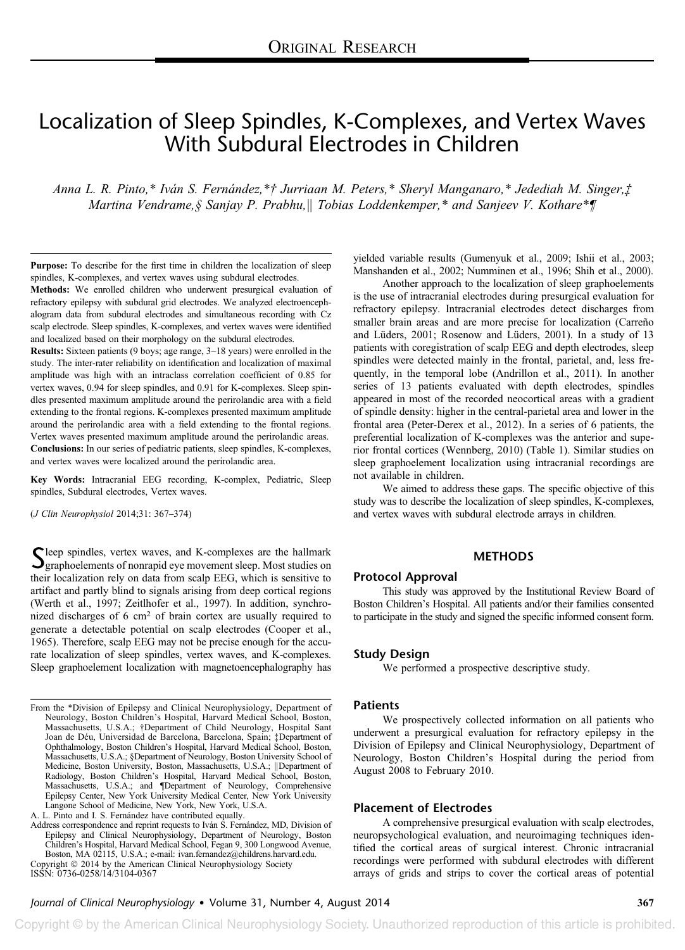# Localization of Sleep Spindles, K-Complexes, and Vertex Waves With Subdural Electrodes in Children

Anna L. R. Pinto,\* Iván S. Fernández,\*† Jurriaan M. Peters,\* Sheryl Manganaro,\* Jedediah M. Singer,‡ Martina Vendrame, § Sanjay P. Prabhu, Tobias Loddenkemper, \* and Sanjeev V. Kothare\* $\P$ 

Purpose: To describe for the first time in children the localization of sleep spindles, K-complexes, and vertex waves using subdural electrodes.

Methods: We enrolled children who underwent presurgical evaluation of refractory epilepsy with subdural grid electrodes. We analyzed electroencephalogram data from subdural electrodes and simultaneous recording with Cz scalp electrode. Sleep spindles, K-complexes, and vertex waves were identified and localized based on their morphology on the subdural electrodes.

Results: Sixteen patients (9 boys; age range, 3–18 years) were enrolled in the study. The inter-rater reliability on identification and localization of maximal amplitude was high with an intraclass correlation coefficient of 0.85 for vertex waves, 0.94 for sleep spindles, and 0.91 for K-complexes. Sleep spindles presented maximum amplitude around the perirolandic area with a field extending to the frontal regions. K-complexes presented maximum amplitude around the perirolandic area with a field extending to the frontal regions. Vertex waves presented maximum amplitude around the perirolandic areas. Conclusions: In our series of pediatric patients, sleep spindles, K-complexes, and vertex waves were localized around the perirolandic area.

Key Words: Intracranial EEG recording, K-complex, Pediatric, Sleep spindles, Subdural electrodes, Vertex waves.

(J Clin Neurophysiol 2014;31: 367–374)

Sleep spindles, vertex waves, and K-complexes are the hallmark<br>graphoelements of nonrapid eye movement sleep. Most studies on their localization rely on data from scalp EEG, which is sensitive to artifact and partly blind to signals arising from deep cortical regions (Werth et al., 1997; Zeitlhofer et al., 1997). In addition, synchronized discharges of  $6 \text{ cm}^2$  of brain cortex are usually required to generate a detectable potential on scalp electrodes (Cooper et al., 1965). Therefore, scalp EEG may not be precise enough for the accurate localization of sleep spindles, vertex waves, and K-complexes. Sleep graphoelement localization with magnetoencephalography has

A. L. Pinto and I. S. Fernández have contributed equally.

Address correspondence and reprint requests to Iván S. Fernández, MD, Division of Epilepsy and Clinical Neurophysiology, Department of Neurology, Boston Children's Hospital, Harvard Medical School, Fegan 9, 300 Longwood Avenue, Boston, MA 02115, U.S.A.; e-mail: ivan.fernandez@childrens.harvard.edu. Copyright  $@$  2014 by the American Clinical Neurophysiology Society ISSN: 0736-0258/14/3104-0367

yielded variable results (Gumenyuk et al., 2009; Ishii et al., 2003; Manshanden et al., 2002; Numminen et al., 1996; Shih et al., 2000).

Another approach to the localization of sleep graphoelements is the use of intracranial electrodes during presurgical evaluation for refractory epilepsy. Intracranial electrodes detect discharges from smaller brain areas and are more precise for localization (Carreño and Lüders, 2001; Rosenow and Lüders, 2001). In a study of 13 patients with coregistration of scalp EEG and depth electrodes, sleep spindles were detected mainly in the frontal, parietal, and, less frequently, in the temporal lobe (Andrillon et al., 2011). In another series of 13 patients evaluated with depth electrodes, spindles appeared in most of the recorded neocortical areas with a gradient of spindle density: higher in the central-parietal area and lower in the frontal area (Peter-Derex et al., 2012). In a series of 6 patients, the preferential localization of K-complexes was the anterior and superior frontal cortices (Wennberg, 2010) (Table 1). Similar studies on sleep graphoelement localization using intracranial recordings are not available in children.

We aimed to address these gaps. The specific objective of this study was to describe the localization of sleep spindles, K-complexes, and vertex waves with subdural electrode arrays in children.

# **METHODS**

#### Protocol Approval

This study was approved by the Institutional Review Board of Boston Children's Hospital. All patients and/or their families consented to participate in the study and signed the specific informed consent form.

#### Study Design

We performed a prospective descriptive study.

#### Patients

We prospectively collected information on all patients who underwent a presurgical evaluation for refractory epilepsy in the Division of Epilepsy and Clinical Neurophysiology, Department of Neurology, Boston Children's Hospital during the period from August 2008 to February 2010.

#### Placement of Electrodes

A comprehensive presurgical evaluation with scalp electrodes, neuropsychological evaluation, and neuroimaging techniques identified the cortical areas of surgical interest. Chronic intracranial recordings were performed with subdural electrodes with different arrays of grids and strips to cover the cortical areas of potential

From the \*Division of Epilepsy and Clinical Neurophysiology, Department of Neurology, Boston Children's Hospital, Harvard Medical School, Boston, Massachusetts, U.S.A.; †Department of Child Neurology, Hospital Sant Joan de Déu, Universidad de Barcelona, Barcelona, Spain; ‡Department of Ophthalmology, Boston Children's Hospital, Harvard Medical School, Boston, Massachusetts, U.S.A.; §Department of Neurology, Boston University School of Medicine, Boston University, Boston, Massachusetts, U.S.A.; ||Department of Radiology, Boston Children's Hospital, Harvard Medical School, Boston, Massachusetts, U.S.A.; and ¶Department of Neurology, Comprehensive Epilepsy Center, New York University Medical Center, New York University Langone School of Medicine, New York, New York, U.S.A.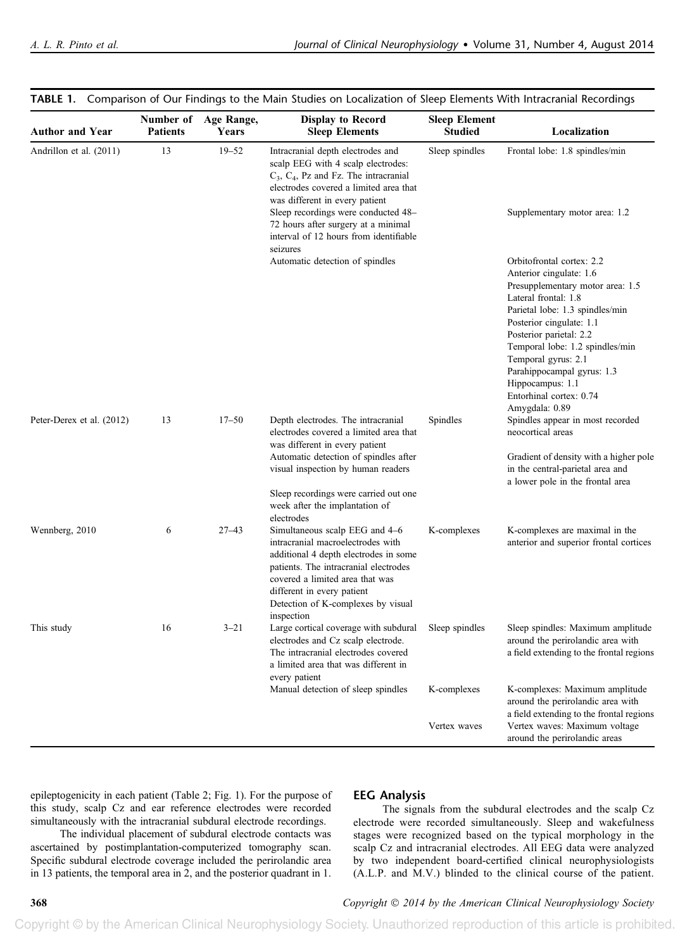| <b>Author and Year</b>    | Number of<br><b>Patients</b> | Age Range,<br>Years | <b>Display to Record</b><br><b>Sleep Elements</b>                                                                                                                                                                                                                                                                                      | <b>Sleep Element</b><br><b>Studied</b> | ╯<br>Localization                                                                                                                                                                                                                                                                                                                                                   |
|---------------------------|------------------------------|---------------------|----------------------------------------------------------------------------------------------------------------------------------------------------------------------------------------------------------------------------------------------------------------------------------------------------------------------------------------|----------------------------------------|---------------------------------------------------------------------------------------------------------------------------------------------------------------------------------------------------------------------------------------------------------------------------------------------------------------------------------------------------------------------|
| Andrillon et al. (2011)   | 13                           | $19 - 52$           | Intracranial depth electrodes and<br>scalp EEG with 4 scalp electrodes:<br>$C_3$ , $C_4$ , Pz and Fz. The intracranial<br>electrodes covered a limited area that<br>was different in every patient<br>Sleep recordings were conducted 48-<br>72 hours after surgery at a minimal<br>interval of 12 hours from identifiable<br>seizures | Sleep spindles                         | Frontal lobe: 1.8 spindles/min<br>Supplementary motor area: 1.2                                                                                                                                                                                                                                                                                                     |
|                           |                              |                     | Automatic detection of spindles                                                                                                                                                                                                                                                                                                        |                                        | Orbitofrontal cortex: 2.2<br>Anterior cingulate: 1.6<br>Presupplementary motor area: 1.5<br>Lateral frontal: 1.8<br>Parietal lobe: 1.3 spindles/min<br>Posterior cingulate: 1.1<br>Posterior parietal: 2.2<br>Temporal lobe: 1.2 spindles/min<br>Temporal gyrus: 2.1<br>Parahippocampal gyrus: 1.3<br>Hippocampus: 1.1<br>Entorhinal cortex: 0.74<br>Amygdala: 0.89 |
| Peter-Derex et al. (2012) | 13                           | $17 - 50$           | Depth electrodes. The intracranial<br>electrodes covered a limited area that<br>was different in every patient<br>Automatic detection of spindles after<br>visual inspection by human readers                                                                                                                                          | Spindles                               | Spindles appear in most recorded<br>neocortical areas<br>Gradient of density with a higher pole<br>in the central-parietal area and<br>a lower pole in the frontal area                                                                                                                                                                                             |
|                           |                              |                     | Sleep recordings were carried out one<br>week after the implantation of<br>electrodes                                                                                                                                                                                                                                                  |                                        |                                                                                                                                                                                                                                                                                                                                                                     |
| Wennberg, 2010            | 6                            | $27 - 43$           | Simultaneous scalp EEG and 4-6<br>intracranial macroelectrodes with<br>additional 4 depth electrodes in some<br>patients. The intracranial electrodes<br>covered a limited area that was<br>different in every patient<br>Detection of K-complexes by visual<br>inspection                                                             | K-complexes                            | K-complexes are maximal in the<br>anterior and superior frontal cortices                                                                                                                                                                                                                                                                                            |
| This study                | 16                           | $3 - 21$            | Large cortical coverage with subdural<br>electrodes and Cz scalp electrode.<br>The intracranial electrodes covered<br>a limited area that was different in<br>every patient                                                                                                                                                            | Sleep spindles                         | Sleep spindles: Maximum amplitude<br>around the perirolandic area with<br>a field extending to the frontal regions                                                                                                                                                                                                                                                  |
|                           |                              |                     | Manual detection of sleep spindles                                                                                                                                                                                                                                                                                                     | K-complexes                            | K-complexes: Maximum amplitude<br>around the perirolandic area with<br>a field extending to the frontal regions                                                                                                                                                                                                                                                     |
|                           |                              |                     |                                                                                                                                                                                                                                                                                                                                        | Vertex waves                           | Vertex waves: Maximum voltage<br>around the perirolandic areas                                                                                                                                                                                                                                                                                                      |

TABLE 1. Comparison of Our Findings to the Main Studies on Localization of Sleep Elements With Intracranial Recordings

epileptogenicity in each patient (Table 2; Fig. 1). For the purpose of this study, scalp Cz and ear reference electrodes were recorded simultaneously with the intracranial subdural electrode recordings.

# The individual placement of subdural electrode contacts was ascertained by postimplantation-computerized tomography scan. Specific subdural electrode coverage included the perirolandic area in 13 patients, the temporal area in 2, and the posterior quadrant in 1.

# EEG Analysis

The signals from the subdural electrodes and the scalp Cz electrode were recorded simultaneously. Sleep and wakefulness stages were recognized based on the typical morphology in the scalp Cz and intracranial electrodes. All EEG data were analyzed by two independent board-certified clinical neurophysiologists (A.L.P. and M.V.) blinded to the clinical course of the patient.

368 Copyright  $\odot$  2014 by the American Clinical Neurophysiology Society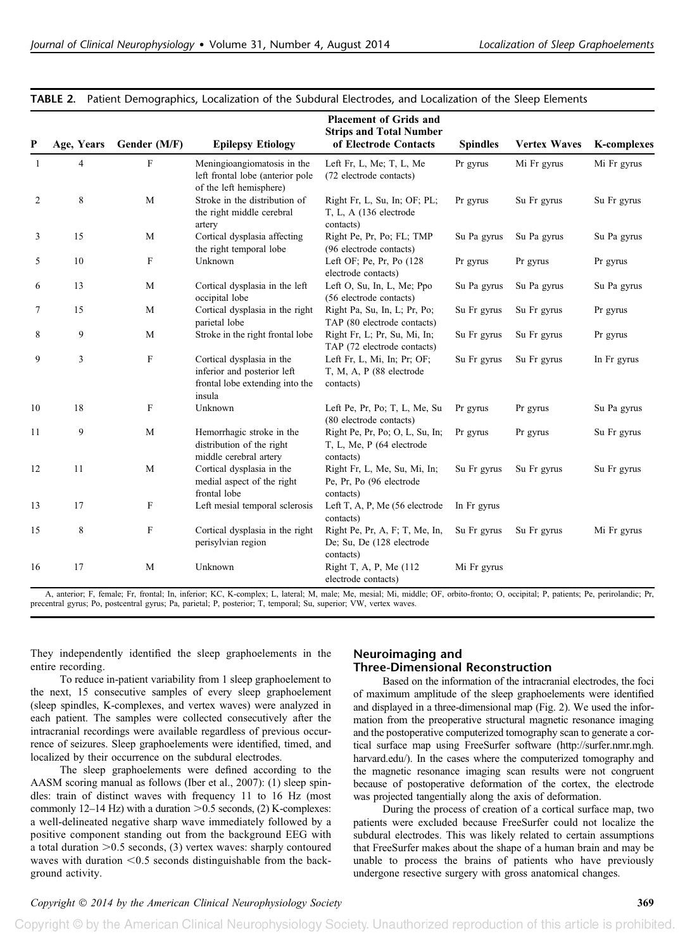| P  | Age, Years | Gender (M/F)              | <b>Epilepsy Etiology</b>                                                                              | <b>Placement of Grids and</b><br><b>Strips and Total Number</b><br>of Electrode Contacts | <b>Spindles</b> | <b>Vertex Waves</b> | <b>K-complexes</b> |
|----|------------|---------------------------|-------------------------------------------------------------------------------------------------------|------------------------------------------------------------------------------------------|-----------------|---------------------|--------------------|
| -1 | 4          | F                         | Meningioangiomatosis in the<br>left frontal lobe (anterior pole<br>of the left hemisphere)            | Left Fr, L, Me; T, L, Me<br>(72 electrode contacts)                                      | Pr gyrus        | Mi Fr gyrus         | Mi Fr gyrus        |
| 2  | 8          | M                         | Stroke in the distribution of<br>the right middle cerebral<br>artery                                  | Right Fr, L, Su, In; OF; PL;<br>T, L, A (136 electrode<br>contacts)                      | Pr gyrus        | Su Fr gyrus         | Su Fr gyrus        |
| 3  | 15         | M                         | Cortical dysplasia affecting<br>the right temporal lobe                                               | Right Pe, Pr, Po; FL; TMP<br>(96 electrode contacts)                                     | Su Pa gyrus     | Su Pa gyrus         | Su Pa gyrus        |
| 5  | 10         | $\boldsymbol{\mathrm{F}}$ | Unknown                                                                                               | Left OF; Pe, Pr, Po (128)<br>electrode contacts)                                         | Pr gyrus        | Pr gyrus            | Pr gyrus           |
| 6  | 13         | M                         | Cortical dysplasia in the left<br>occipital lobe                                                      | Left O, Su, In, L, Me; Ppo<br>(56 electrode contacts)                                    | Su Pa gyrus     | Su Pa gyrus         | Su Pa gyrus        |
| 7  | 15         | M                         | Cortical dysplasia in the right<br>parietal lobe                                                      | Right Pa, Su, In, L; Pr, Po;<br>TAP (80 electrode contacts)                              | Su Fr gyrus     | Su Fr gyrus         | Pr gyrus           |
| 8  | 9          | M                         | Stroke in the right frontal lobe                                                                      | Right Fr, L; Pr, Su, Mi, In;<br>TAP (72 electrode contacts)                              | Su Fr gyrus     | Su Fr gyrus         | Pr gyrus           |
| 9  | 3          | $\mathbf F$               | Cortical dysplasia in the<br>inferior and posterior left<br>frontal lobe extending into the<br>insula | Left Fr, L, Mi, In; Pr; OF;<br>T, M, A, P (88 electrode<br>contacts)                     | Su Fr gyrus     | Su Fr gyrus         | In Fr gyrus        |
| 10 | 18         | $\, {\rm F}$              | Unknown                                                                                               | Left Pe, Pr, Po; T, L, Me, Su<br>(80 electrode contacts)                                 | Pr gyrus        | Pr gyrus            | Su Pa gyrus        |
| 11 | 9          | M                         | Hemorrhagic stroke in the<br>distribution of the right<br>middle cerebral artery                      | Right Pe, Pr, Po; O, L, Su, In;<br>T, L, Me, P (64 electrode<br>contacts)                | Pr gyrus        | Pr gyrus            | Su Fr gyrus        |
| 12 | 11         | M                         | Cortical dysplasia in the<br>medial aspect of the right<br>frontal lobe                               | Right Fr, L, Me, Su, Mi, In;<br>Pe, Pr, Po (96 electrode<br>contacts)                    | Su Fr gyrus     | Su Fr gyrus         | Su Fr gyrus        |
| 13 | 17         | $\boldsymbol{\mathrm{F}}$ | Left mesial temporal sclerosis                                                                        | Left T, A, P, Me (56 electrode<br>contacts)                                              | In Fr gyrus     |                     |                    |
| 15 | 8          | $\rm F$                   | Cortical dysplasia in the right<br>perisylvian region                                                 | Right Pe, Pr, A, F; T, Me, In,<br>De; Su, De (128 electrode)<br>contacts)                | Su Fr gyrus     | Su Fr gyrus         | Mi Fr gyrus        |
| 16 | 17         | M                         | Unknown                                                                                               | Right T, A, P, Me (112)<br>electrode contacts)                                           | Mi Fr gyrus     |                     |                    |

TABLE 2. Patient Demographics, Localization of the Subdural Electrodes, and Localization of the Sleep Elements

A, anterior; F, female; Fr, frontal; In, inferior; KC, K-complex; L, lateral; M, male; Me, mesial; Mi, middle; OF, orbito-fronto; O, occipital; P, patients; Pe, perirolandic; Pr, precentral gyrus; Po, postcentral gyrus; Pa, parietal; P, posterior; T, temporal; Su, superior; VW, vertex waves.

They independently identified the sleep graphoelements in the entire recording.

To reduce in-patient variability from 1 sleep graphoelement to the next, 15 consecutive samples of every sleep graphoelement (sleep spindles, K-complexes, and vertex waves) were analyzed in each patient. The samples were collected consecutively after the intracranial recordings were available regardless of previous occurrence of seizures. Sleep graphoelements were identified, timed, and localized by their occurrence on the subdural electrodes.

The sleep graphoelements were defined according to the AASM scoring manual as follows (Iber et al., 2007): (1) sleep spindles: train of distinct waves with frequency 11 to 16 Hz (most commonly 12–14 Hz) with a duration  $> 0.5$  seconds, (2) K-complexes: a well-delineated negative sharp wave immediately followed by a positive component standing out from the background EEG with a total duration  $>0.5$  seconds, (3) vertex waves: sharply contoured waves with duration  $< 0.5$  seconds distinguishable from the background activity.

#### Neuroimaging and Three-Dimensional Reconstruction

Based on the information of the intracranial electrodes, the foci of maximum amplitude of the sleep graphoelements were identified and displayed in a three-dimensional map (Fig. 2). We used the information from the preoperative structural magnetic resonance imaging and the postoperative computerized tomography scan to generate a cortical surface map using FreeSurfer software (http://surfer.nmr.mgh. harvard.edu/). In the cases where the computerized tomography and the magnetic resonance imaging scan results were not congruent because of postoperative deformation of the cortex, the electrode was projected tangentially along the axis of deformation.

During the process of creation of a cortical surface map, two patients were excluded because FreeSurfer could not localize the subdural electrodes. This was likely related to certain assumptions that FreeSurfer makes about the shape of a human brain and may be unable to process the brains of patients who have previously undergone resective surgery with gross anatomical changes.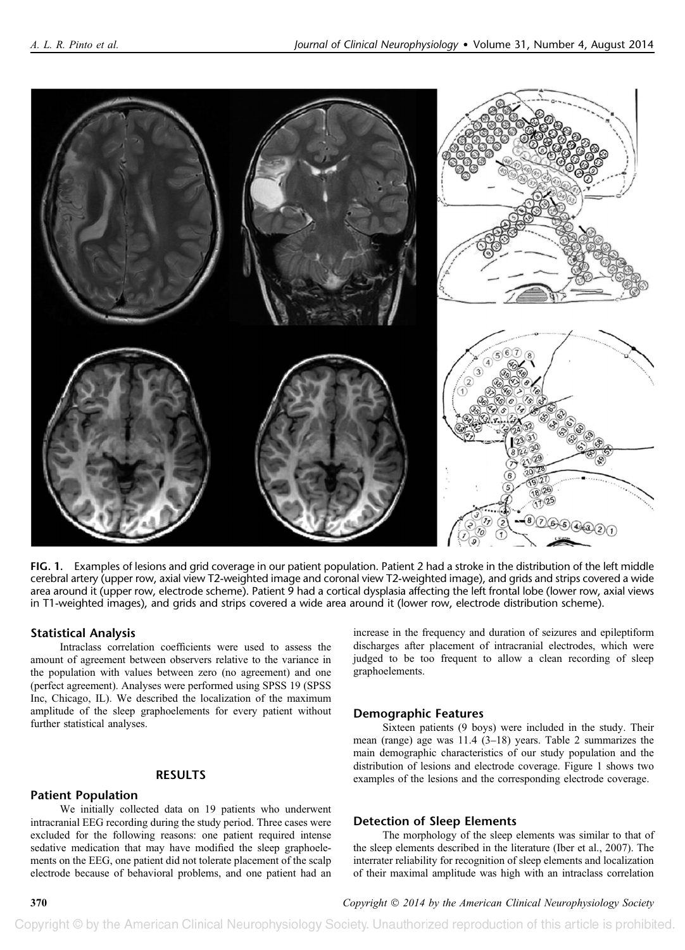

FIG. 1. Examples of lesions and grid coverage in our patient population. Patient 2 had a stroke in the distribution of the left middle cerebral artery (upper row, axial view T2-weighted image and coronal view T2-weighted image), and grids and strips covered a wide area around it (upper row, electrode scheme). Patient 9 had a cortical dysplasia affecting the left frontal lobe (lower row, axial views in T1-weighted images), and grids and strips covered a wide area around it (lower row, electrode distribution scheme).

# Statistical Analysis

Intraclass correlation coefficients were used to assess the amount of agreement between observers relative to the variance in the population with values between zero (no agreement) and one (perfect agreement). Analyses were performed using SPSS 19 (SPSS Inc, Chicago, IL). We described the localization of the maximum amplitude of the sleep graphoelements for every patient without further statistical analyses.

#### RESULTS

# Patient Population

We initially collected data on 19 patients who underwent intracranial EEG recording during the study period. Three cases were excluded for the following reasons: one patient required intense sedative medication that may have modified the sleep graphoelements on the EEG, one patient did not tolerate placement of the scalp electrode because of behavioral problems, and one patient had an

increase in the frequency and duration of seizures and epileptiform discharges after placement of intracranial electrodes, which were judged to be too frequent to allow a clean recording of sleep graphoelements.

# Demographic Features

Sixteen patients (9 boys) were included in the study. Their mean (range) age was 11.4 (3–18) years. Table 2 summarizes the main demographic characteristics of our study population and the distribution of lesions and electrode coverage. Figure 1 shows two examples of the lesions and the corresponding electrode coverage.

# Detection of Sleep Elements

The morphology of the sleep elements was similar to that of the sleep elements described in the literature (Iber et al., 2007). The interrater reliability for recognition of sleep elements and localization of their maximal amplitude was high with an intraclass correlation

370 Copyright  $\odot$  2014 by the American Clinical Neurophysiology Society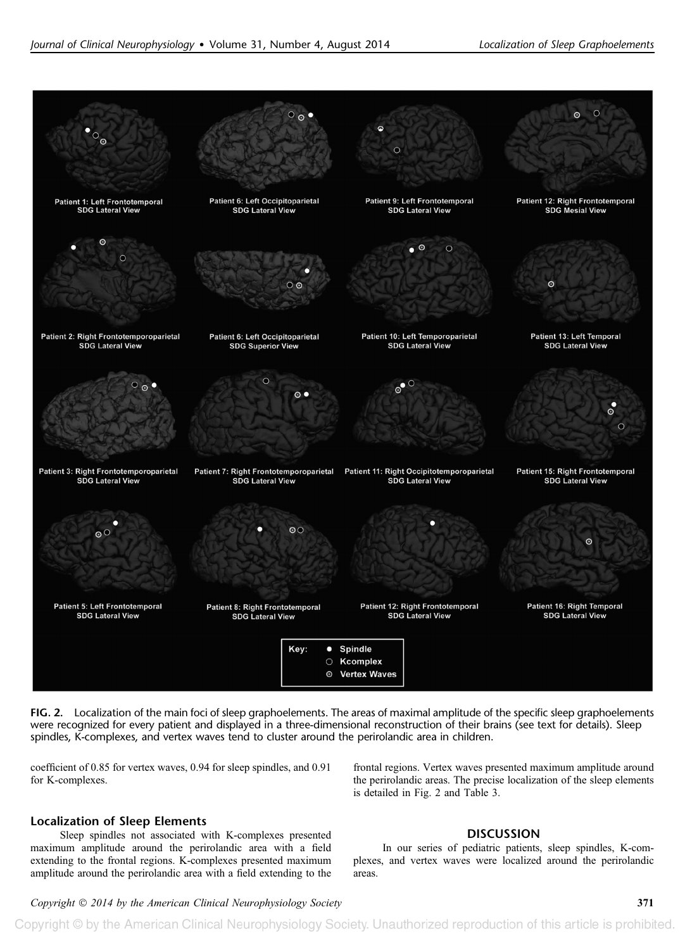

FIG. 2. Localization of the main foci of sleep graphoelements. The areas of maximal amplitude of the specific sleep graphoelements were recognized for every patient and displayed in a three-dimensional reconstruction of their brains (see text for details). Sleep spindles, K-complexes, and vertex waves tend to cluster around the perirolandic area in children.

coefficient of 0.85 for vertex waves, 0.94 for sleep spindles, and 0.91 for K-complexes.

# Localization of Sleep Elements

Sleep spindles not associated with K-complexes presented maximum amplitude around the perirolandic area with a field extending to the frontal regions. K-complexes presented maximum amplitude around the perirolandic area with a field extending to the

frontal regions. Vertex waves presented maximum amplitude around the perirolandic areas. The precise localization of the sleep elements is detailed in Fig. 2 and Table 3.

# **DISCUSSION**

In our series of pediatric patients, sleep spindles, K-complexes, and vertex waves were localized around the perirolandic areas.

#### Copyright  $\odot$  2014 by the American Clinical Neurophysiology Society 371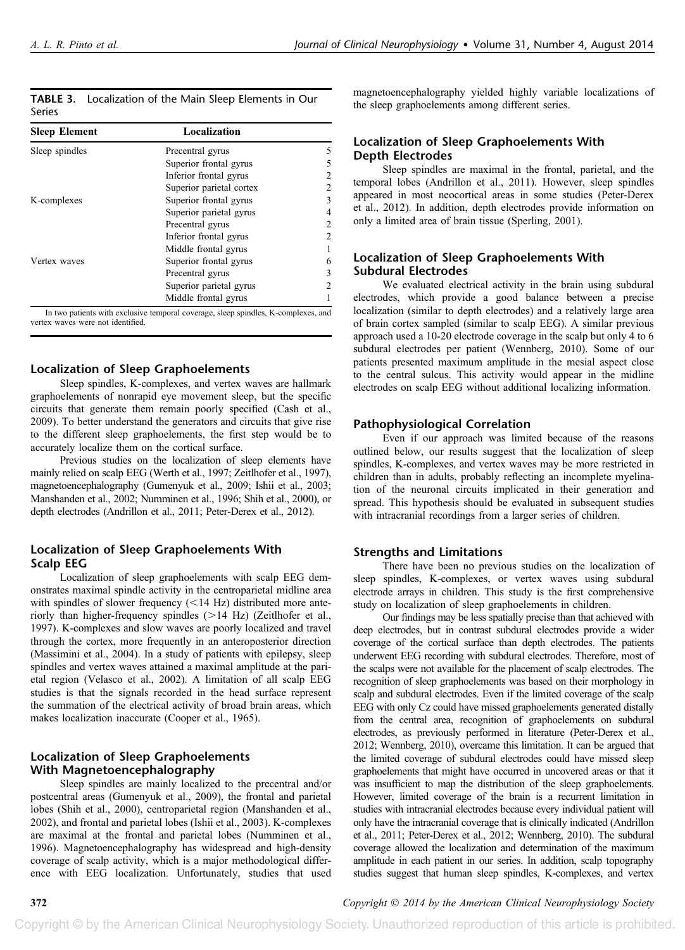|        | <b>TABLE 3.</b> Localization of the Main Sleep Elements in Our |  |
|--------|----------------------------------------------------------------|--|
| Series |                                                                |  |

| <b>Sleep Element</b>              | Localization                                                                       |   |
|-----------------------------------|------------------------------------------------------------------------------------|---|
| Sleep spindles                    | Precentral gyrus                                                                   | 5 |
|                                   | Superior frontal gyrus                                                             |   |
|                                   | Inferior frontal gyrus                                                             |   |
|                                   | Superior parietal cortex                                                           |   |
| K-complexes                       | Superior frontal gyrus                                                             | 3 |
|                                   | Superior parietal gyrus                                                            |   |
|                                   | Precentral gyrus                                                                   |   |
|                                   | Inferior frontal gyrus                                                             |   |
|                                   | Middle frontal gyrus                                                               |   |
| Vertex waves                      | Superior frontal gyrus                                                             | 6 |
|                                   | Precentral gyrus                                                                   |   |
|                                   | Superior parietal gyrus                                                            |   |
|                                   | Middle frontal gyrus                                                               |   |
| vertex waves were not identified. | In two patients with exclusive temporal coverage, sleep spindles, K-complexes, and |   |

#### Localization of Sleep Graphoelements

Sleep spindles, K-complexes, and vertex waves are hallmark graphoelements of nonrapid eye movement sleep, but the specific circuits that generate them remain poorly specified (Cash et al., 2009). To better understand the generators and circuits that give rise to the different sleep graphoelements, the first step would be to accurately localize them on the cortical surface.

Previous studies on the localization of sleep elements have mainly relied on scalp EEG (Werth et al., 1997; Zeitlhofer et al., 1997), magnetoencephalography (Gumenyuk et al., 2009; Ishii et al., 2003; Manshanden et al., 2002; Numminen et al., 1996; Shih et al., 2000), or depth electrodes (Andrillon et al., 2011; Peter-Derex et al., 2012).

#### Localization of Sleep Graphoelements With Scalp EEG

Localization of sleep graphoelements with scalp EEG demonstrates maximal spindle activity in the centroparietal midline area with spindles of slower frequency  $(<14$  Hz) distributed more anteriorly than higher-frequency spindles  $(>14$  Hz) (Zeitlhofer et al., 1997). K-complexes and slow waves are poorly localized and travel through the cortex, more frequently in an anteroposterior direction (Massimini et al., 2004). In a study of patients with epilepsy, sleep spindles and vertex waves attained a maximal amplitude at the parietal region (Velasco et al., 2002). A limitation of all scalp EEG studies is that the signals recorded in the head surface represent the summation of the electrical activity of broad brain areas, which makes localization inaccurate (Cooper et al., 1965).

#### Localization of Sleep Graphoelements With Magnetoencephalography

Sleep spindles are mainly localized to the precentral and/or postcentral areas (Gumenyuk et al., 2009), the frontal and parietal lobes (Shih et al., 2000), centroparietal region (Manshanden et al., 2002), and frontal and parietal lobes (Ishii et al., 2003). K-complexes are maximal at the frontal and parietal lobes (Numminen et al., 1996). Magnetoencephalography has widespread and high-density coverage of scalp activity, which is a major methodological difference with EEG localization. Unfortunately, studies that used

magnetoencephalography yielded highly variable localizations of the sleep graphoelements among different series.

#### Localization of Sleep Graphoelements With Depth Electrodes

Sleep spindles are maximal in the frontal, parietal, and the temporal lobes (Andrillon et al., 2011). However, sleep spindles appeared in most neocortical areas in some studies (Peter-Derex et al., 2012). In addition, depth electrodes provide information on only a limited area of brain tissue (Sperling, 2001).

# Localization of Sleep Graphoelements With Subdural Electrodes

We evaluated electrical activity in the brain using subdural electrodes, which provide a good balance between a precise localization (similar to depth electrodes) and a relatively large area of brain cortex sampled (similar to scalp EEG). A similar previous approach used a 10-20 electrode coverage in the scalp but only 4 to 6 subdural electrodes per patient (Wennberg, 2010). Some of our patients presented maximum amplitude in the mesial aspect close to the central sulcus. This activity would appear in the midline electrodes on scalp EEG without additional localizing information.

#### Pathophysiological Correlation

Even if our approach was limited because of the reasons outlined below, our results suggest that the localization of sleep spindles, K-complexes, and vertex waves may be more restricted in children than in adults, probably reflecting an incomplete myelination of the neuronal circuits implicated in their generation and spread. This hypothesis should be evaluated in subsequent studies with intracranial recordings from a larger series of children.

#### Strengths and Limitations

There have been no previous studies on the localization of sleep spindles, K-complexes, or vertex waves using subdural electrode arrays in children. This study is the first comprehensive study on localization of sleep graphoelements in children.

Our findings may be less spatially precise than that achieved with deep electrodes, but in contrast subdural electrodes provide a wider coverage of the cortical surface than depth electrodes. The patients underwent EEG recording with subdural electrodes. Therefore, most of the scalps were not available for the placement of scalp electrodes. The recognition of sleep graphoelements was based on their morphology in scalp and subdural electrodes. Even if the limited coverage of the scalp EEG with only Cz could have missed graphoelements generated distally from the central area, recognition of graphoelements on subdural electrodes, as previously performed in literature (Peter-Derex et al., 2012; Wennberg, 2010), overcame this limitation. It can be argued that the limited coverage of subdural electrodes could have missed sleep graphoelements that might have occurred in uncovered areas or that it was insufficient to map the distribution of the sleep graphoelements. However, limited coverage of the brain is a recurrent limitation in studies with intracranial electrodes because every individual patient will only have the intracranial coverage that is clinically indicated (Andrillon et al., 2011; Peter-Derex et al., 2012; Wennberg, 2010). The subdural coverage allowed the localization and determination of the maximum amplitude in each patient in our series. In addition, scalp topography studies suggest that human sleep spindles, K-complexes, and vertex

372 Copyright  $\odot$  2014 by the American Clinical Neurophysiology Society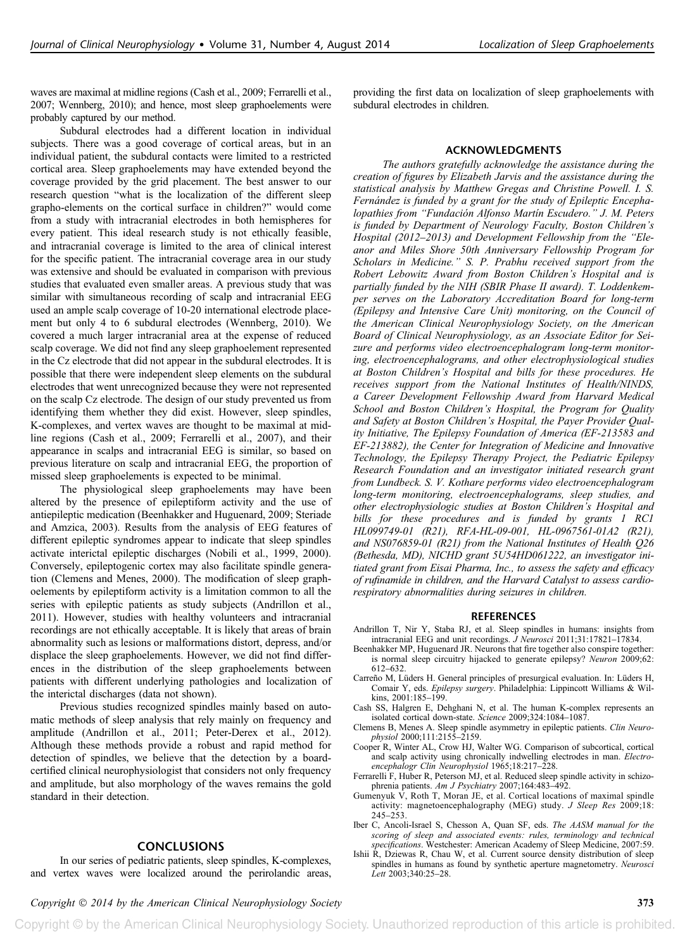waves are maximal at midline regions (Cash et al., 2009; Ferrarelli et al., 2007; Wennberg, 2010); and hence, most sleep graphoelements were probably captured by our method.

Subdural electrodes had a different location in individual subjects. There was a good coverage of cortical areas, but in an individual patient, the subdural contacts were limited to a restricted cortical area. Sleep graphoelements may have extended beyond the coverage provided by the grid placement. The best answer to our research question "what is the localization of the different sleep grapho-elements on the cortical surface in children?" would come from a study with intracranial electrodes in both hemispheres for every patient. This ideal research study is not ethically feasible, and intracranial coverage is limited to the area of clinical interest for the specific patient. The intracranial coverage area in our study was extensive and should be evaluated in comparison with previous studies that evaluated even smaller areas. A previous study that was similar with simultaneous recording of scalp and intracranial EEG used an ample scalp coverage of 10-20 international electrode placement but only 4 to 6 subdural electrodes (Wennberg, 2010). We covered a much larger intracranial area at the expense of reduced scalp coverage. We did not find any sleep graphoelement represented in the Cz electrode that did not appear in the subdural electrodes. It is possible that there were independent sleep elements on the subdural electrodes that went unrecognized because they were not represented on the scalp Cz electrode. The design of our study prevented us from identifying them whether they did exist. However, sleep spindles, K-complexes, and vertex waves are thought to be maximal at midline regions (Cash et al., 2009; Ferrarelli et al., 2007), and their appearance in scalps and intracranial EEG is similar, so based on previous literature on scalp and intracranial EEG, the proportion of missed sleep graphoelements is expected to be minimal.

The physiological sleep graphoelements may have been altered by the presence of epileptiform activity and the use of antiepileptic medication (Beenhakker and Huguenard, 2009; Steriade and Amzica, 2003). Results from the analysis of EEG features of different epileptic syndromes appear to indicate that sleep spindles activate interictal epileptic discharges (Nobili et al., 1999, 2000). Conversely, epileptogenic cortex may also facilitate spindle generation (Clemens and Menes, 2000). The modification of sleep graphoelements by epileptiform activity is a limitation common to all the series with epileptic patients as study subjects (Andrillon et al., 2011). However, studies with healthy volunteers and intracranial recordings are not ethically acceptable. It is likely that areas of brain abnormality such as lesions or malformations distort, depress, and/or displace the sleep graphoelements. However, we did not find differences in the distribution of the sleep graphoelements between patients with different underlying pathologies and localization of the interictal discharges (data not shown).

Previous studies recognized spindles mainly based on automatic methods of sleep analysis that rely mainly on frequency and amplitude (Andrillon et al., 2011; Peter-Derex et al., 2012). Although these methods provide a robust and rapid method for detection of spindles, we believe that the detection by a boardcertified clinical neurophysiologist that considers not only frequency and amplitude, but also morphology of the waves remains the gold standard in their detection.

#### **CONCLUSIONS**

In our series of pediatric patients, sleep spindles, K-complexes, and vertex waves were localized around the perirolandic areas, providing the first data on localization of sleep graphoelements with subdural electrodes in children.

#### ACKNOWLEDGMENTS

The authors gratefully acknowledge the assistance during the creation of figures by Elizabeth Jarvis and the assistance during the statistical analysis by Matthew Gregas and Christine Powell. I. S. Fernández is funded by a grant for the study of Epileptic Encephalopathies from "Fundación Alfonso Martín Escudero." J. M. Peters is funded by Department of Neurology Faculty, Boston Children's Hospital (2012–2013) and Development Fellowship from the "Eleanor and Miles Shore 50th Anniversary Fellowship Program for Scholars in Medicine." S. P. Prabhu received support from the Robert Lebowitz Award from Boston Children's Hospital and is partially funded by the NIH (SBIR Phase II award). T. Loddenkemper serves on the Laboratory Accreditation Board for long-term (Epilepsy and Intensive Care Unit) monitoring, on the Council of the American Clinical Neurophysiology Society, on the American Board of Clinical Neurophysiology, as an Associate Editor for Seizure and performs video electroencephalogram long-term monitoring, electroencephalograms, and other electrophysiological studies at Boston Children's Hospital and bills for these procedures. He receives support from the National Institutes of Health/NINDS, a Career Development Fellowship Award from Harvard Medical School and Boston Children's Hospital, the Program for Quality and Safety at Boston Children's Hospital, the Payer Provider Quality Initiative, The Epilepsy Foundation of America (EF-213583 and EF-213882), the Center for Integration of Medicine and Innovative Technology, the Epilepsy Therapy Project, the Pediatric Epilepsy Research Foundation and an investigator initiated research grant from Lundbeck. S. V. Kothare performs video electroencephalogram long-term monitoring, electroencephalograms, sleep studies, and other electrophysiologic studies at Boston Children's Hospital and bills for these procedures and is funded by grants 1 RC1 HL099749-01 (R21), RFA-HL-09-001, HL-0967561-01A2 (R21), and NS076859-01 (R21) from the National Institutes of Health Q26 (Bethesda, MD), NICHD grant 5U54HD061222, an investigator initiated grant from Eisai Pharma, Inc., to assess the safety and efficacy of rufinamide in children, and the Harvard Catalyst to assess cardiorespiratory abnormalities during seizures in children.

#### REFERENCES

Andrillon T, Nir Y, Staba RJ, et al. Sleep spindles in humans: insights from intracranial EEG and unit recordings.  $\hat{J}$  Neurosci 2011;31:17821-17834.

- Beenhakker MP, Huguenard JR. Neurons that fire together also conspire together: is normal sleep circuitry hijacked to generate epilepsy? Neuron 2009;62: 612–632.
- Carreño M, Lüders H. General principles of presurgical evaluation. In: Lüders H, Comair Y, eds. Epilepsy surgery. Philadelphia: Lippincott Williams & Wilkins, 2001:185–199.
- Cash SS, Halgren E, Dehghani N, et al. The human K-complex represents an isolated cortical down-state. Science 2009;324:1084–1087.
- Clemens B, Menes A. Sleep spindle asymmetry in epileptic patients. Clin Neurophysiol 2000;111:2155–2159.
- Cooper R, Winter AL, Crow HJ, Walter WG. Comparison of subcortical, cortical and scalp activity using chronically indwelling electrodes in man. Electroencephalogr Clin Neurophysiol 1965;18:217-228.
- Ferrarelli F, Huber R, Peterson MJ, et al. Reduced sleep spindle activity in schizophrenia patients. Am J Psychiatry 2007;164:483-492.
- Gumenyuk V, Roth T, Moran JE, et al. Cortical locations of maximal spindle activity: magnetoencephalography (MEG) study. J Sleep Res 2009;18: 245–253.
- Iber C, Ancoli-Israel S, Chesson A, Quan SF, eds. The AASM manual for the scoring of sleep and associated events: rules, terminology and technical specifications. Westchester: American Academy of Sleep Medicine, 2007:59.
- Ishii R, Dziewas R, Chau W, et al. Current source density distribution of sleep spindles in humans as found by synthetic aperture magnetometry. Neurosci Lett 2003;340:25–28.